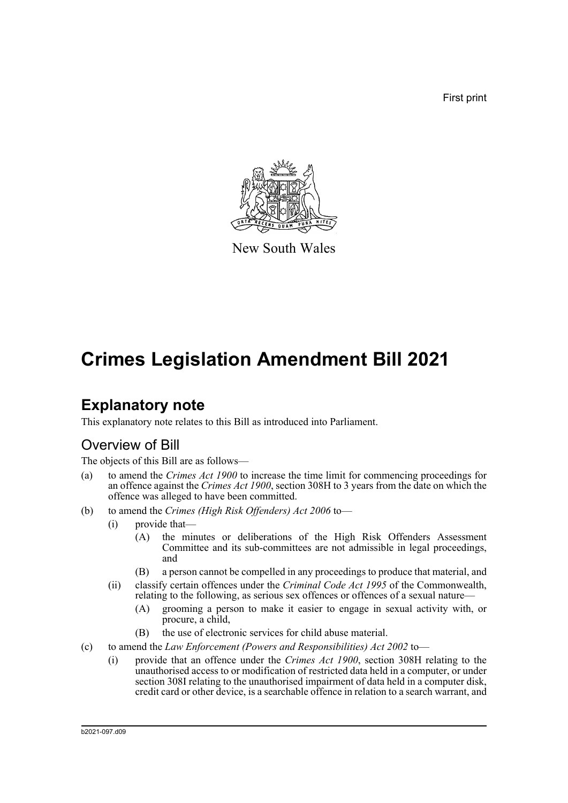First print



New South Wales

# **Crimes Legislation Amendment Bill 2021**

## **Explanatory note**

This explanatory note relates to this Bill as introduced into Parliament.

#### Overview of Bill

The objects of this Bill are as follows—

- (a) to amend the *Crimes Act 1900* to increase the time limit for commencing proceedings for an offence against the *Crimes Act 1900*, section 308H to 3 years from the date on which the offence was alleged to have been committed.
- (b) to amend the *Crimes (High Risk Offenders) Act 2006* to—
	- (i) provide that—
		- (A) the minutes or deliberations of the High Risk Offenders Assessment Committee and its sub-committees are not admissible in legal proceedings, and
		- (B) a person cannot be compelled in any proceedings to produce that material, and
	- (ii) classify certain offences under the *Criminal Code Act 1995* of the Commonwealth, relating to the following, as serious sex offences or offences of a sexual nature—
		- (A) grooming a person to make it easier to engage in sexual activity with, or procure, a child,
		- (B) the use of electronic services for child abuse material.
- (c) to amend the *Law Enforcement (Powers and Responsibilities) Act 2002* to—
	- (i) provide that an offence under the *Crimes Act 1900*, section 308H relating to the unauthorised access to or modification of restricted data held in a computer, or under section 308I relating to the unauthorised impairment of data held in a computer disk, credit card or other device, is a searchable offence in relation to a search warrant, and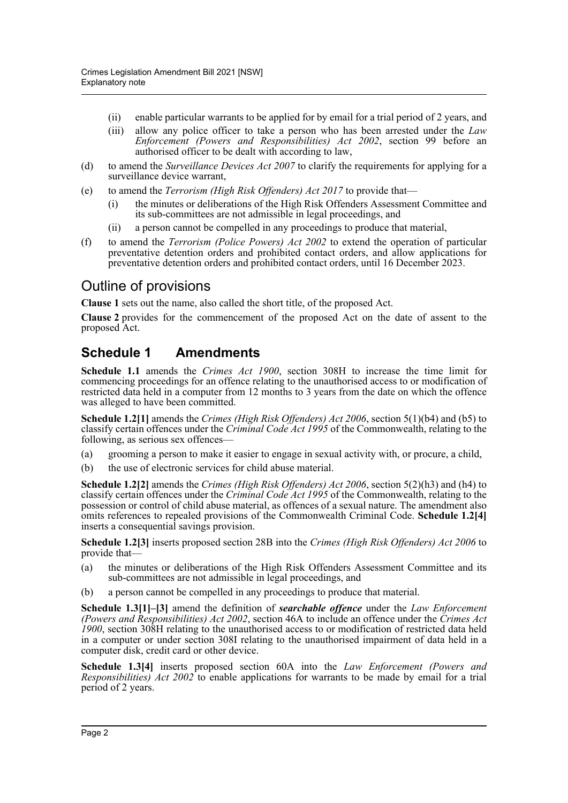- (ii) enable particular warrants to be applied for by email for a trial period of 2 years, and
- (iii) allow any police officer to take a person who has been arrested under the *Law Enforcement (Powers and Responsibilities) Act 2002*, section 99 before an authorised officer to be dealt with according to law,
- (d) to amend the *Surveillance Devices Act 2007* to clarify the requirements for applying for a surveillance device warrant,
- (e) to amend the *Terrorism (High Risk Offenders) Act 2017* to provide that—
	- (i) the minutes or deliberations of the High Risk Offenders Assessment Committee and its sub-committees are not admissible in legal proceedings, and
	- (ii) a person cannot be compelled in any proceedings to produce that material,
- (f) to amend the *Terrorism (Police Powers) Act 2002* to extend the operation of particular preventative detention orders and prohibited contact orders, and allow applications for preventative detention orders and prohibited contact orders, until 16 December 2023.

#### Outline of provisions

**Clause 1** sets out the name, also called the short title, of the proposed Act.

**Clause 2** provides for the commencement of the proposed Act on the date of assent to the proposed Act.

#### **Schedule 1 Amendments**

**Schedule 1.1** amends the *Crimes Act 1900*, section 308H to increase the time limit for commencing proceedings for an offence relating to the unauthorised access to or modification of restricted data held in a computer from 12 months to 3 years from the date on which the offence was alleged to have been committed.

**Schedule 1.2[1]** amends the *Crimes (High Risk Offenders) Act 2006*, section 5(1)(b4) and (b5) to classify certain offences under the *Criminal Code Act 1995* of the Commonwealth, relating to the following, as serious sex offences-

- (a) grooming a person to make it easier to engage in sexual activity with, or procure, a child,
- (b) the use of electronic services for child abuse material.

**Schedule 1.2[2]** amends the *Crimes (High Risk Offenders) Act 2006*, section 5(2)(h3) and (h4) to classify certain offences under the *Criminal Code Act 1995* of the Commonwealth, relating to the possession or control of child abuse material, as offences of a sexual nature. The amendment also omits references to repealed provisions of the Commonwealth Criminal Code. **Schedule 1.2[4]** inserts a consequential savings provision.

**Schedule 1.2[3]** inserts proposed section 28B into the *Crimes (High Risk Offenders) Act 2006* to provide that—

- (a) the minutes or deliberations of the High Risk Offenders Assessment Committee and its sub-committees are not admissible in legal proceedings, and
- (b) a person cannot be compelled in any proceedings to produce that material.

**Schedule 1.3[1]–[3]** amend the definition of *searchable offence* under the *Law Enforcement (Powers and Responsibilities) Act 2002*, section 46A to include an offence under the *Crimes Act 1900*, section 308H relating to the unauthorised access to or modification of restricted data held in a computer or under section 308I relating to the unauthorised impairment of data held in a computer disk, credit card or other device.

**Schedule 1.3[4]** inserts proposed section 60A into the *Law Enforcement (Powers and Responsibilities) Act 2002* to enable applications for warrants to be made by email for a trial period of 2 years.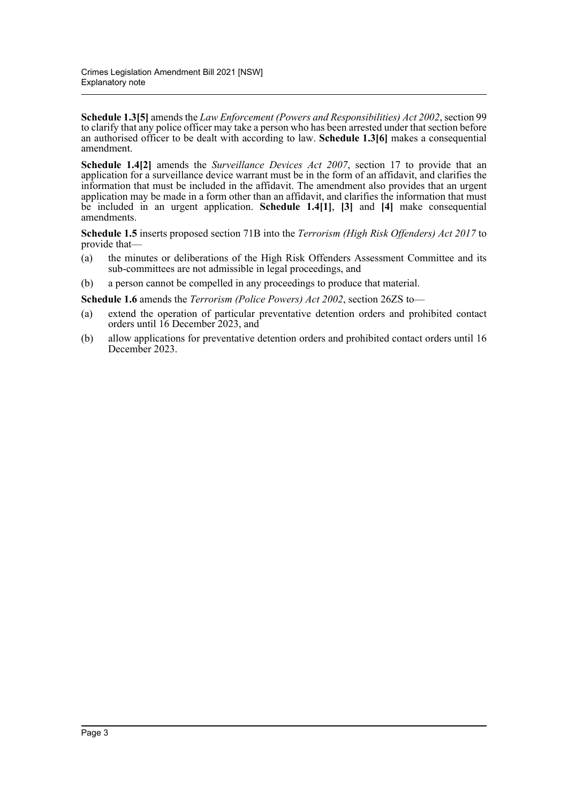**Schedule 1.3[5]** amends the *Law Enforcement (Powers and Responsibilities) Act 2002*, section 99 to clarify that any police officer may take a person who has been arrested under that section before an authorised officer to be dealt with according to law. **Schedule 1.3[6]** makes a consequential amendment.

**Schedule 1.4[2]** amends the *Surveillance Devices Act 2007*, section 17 to provide that an application for a surveillance device warrant must be in the form of an affidavit, and clarifies the information that must be included in the affidavit. The amendment also provides that an urgent application may be made in a form other than an affidavit, and clarifies the information that must be included in an urgent application. **Schedule 1.4[1]**, **[3]** and **[4]** make consequential amendments.

**Schedule 1.5** inserts proposed section 71B into the *Terrorism (High Risk Offenders) Act 2017* to provide that—

- (a) the minutes or deliberations of the High Risk Offenders Assessment Committee and its sub-committees are not admissible in legal proceedings, and
- (b) a person cannot be compelled in any proceedings to produce that material.

**Schedule 1.6** amends the *Terrorism (Police Powers) Act 2002*, section 26ZS to—

- (a) extend the operation of particular preventative detention orders and prohibited contact orders until 16 December 2023, and
- (b) allow applications for preventative detention orders and prohibited contact orders until 16 December 2023.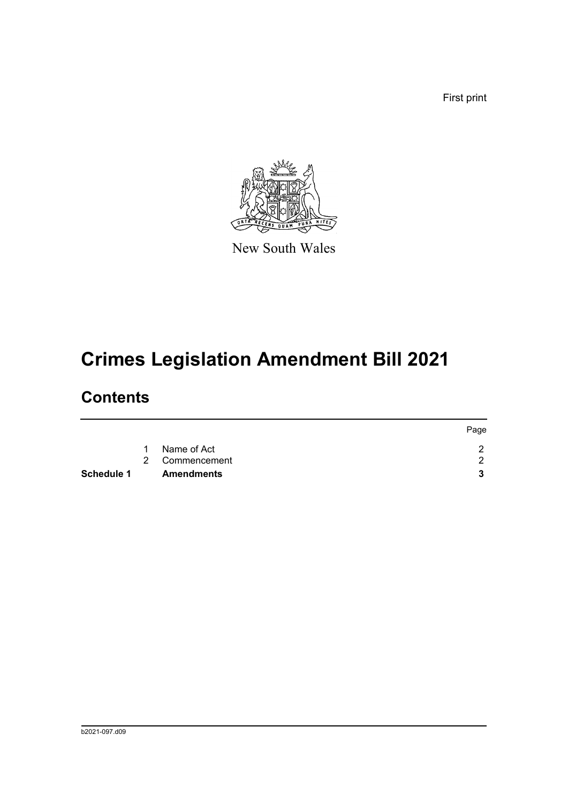First print



New South Wales

# **Crimes Legislation Amendment Bill 2021**

## **Contents**

|                   |   |                   | Page |
|-------------------|---|-------------------|------|
|                   | 1 | Name of Act       |      |
|                   |   | 2 Commencement    | ◠    |
| <b>Schedule 1</b> |   | <b>Amendments</b> |      |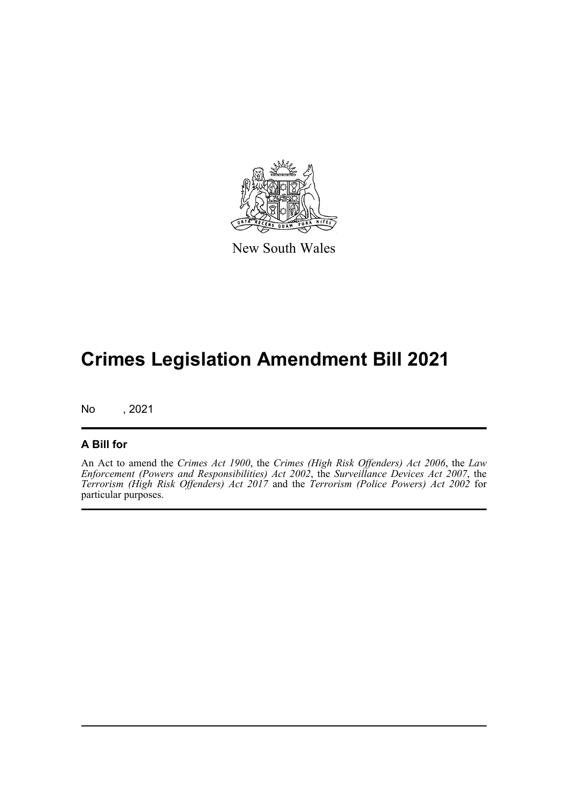

New South Wales

## **Crimes Legislation Amendment Bill 2021**

No , 2021

#### **A Bill for**

An Act to amend the *Crimes Act 1900*, the *Crimes (High Risk Offenders) Act 2006*, the *Law Enforcement (Powers and Responsibilities) Act 2002*, the *Surveillance Devices Act 2007*, the *Terrorism (High Risk Offenders) Act 2017* and the *Terrorism (Police Powers) Act 2002* for particular purposes.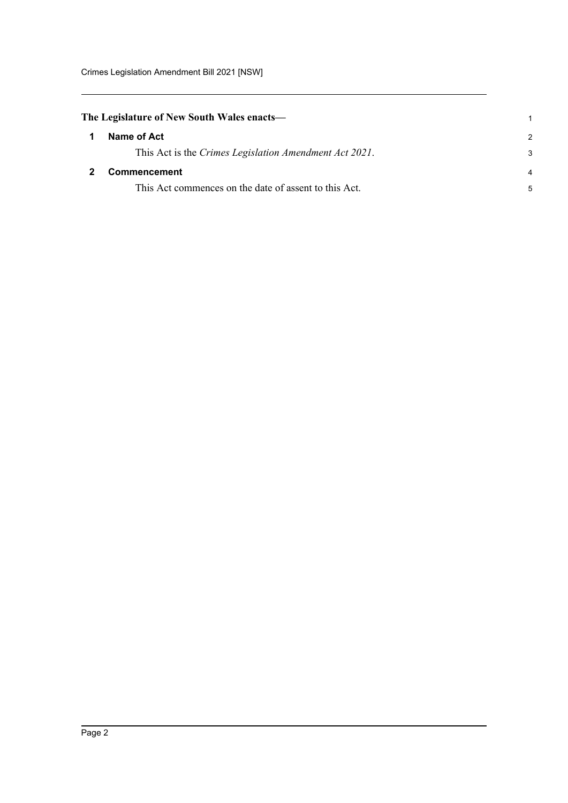<span id="page-5-1"></span><span id="page-5-0"></span>

|                | The Legislature of New South Wales enacts—             |
|----------------|--------------------------------------------------------|
| $\overline{1}$ | Name of Act                                            |
|                | This Act is the Crimes Legislation Amendment Act 2021. |
| $\overline{2}$ | <b>Commencement</b>                                    |
|                | This Act commences on the date of assent to this Act.  |

1 2 3

4 5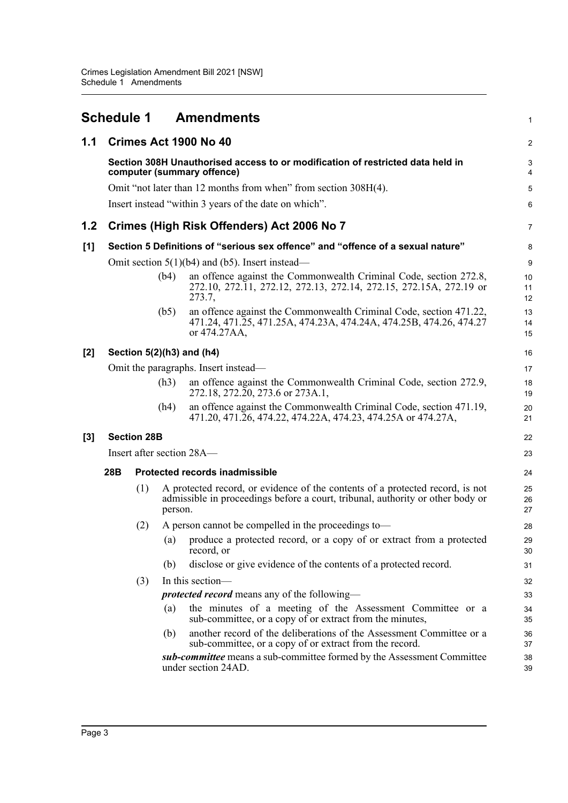<span id="page-6-0"></span>

|       | Schedule 1                           |                    |         | <b>Amendments</b>                                                                                                                                               | 1              |  |  |
|-------|--------------------------------------|--------------------|---------|-----------------------------------------------------------------------------------------------------------------------------------------------------------------|----------------|--|--|
| 1.1   |                                      |                    |         | Crimes Act 1900 No 40                                                                                                                                           | 2              |  |  |
|       |                                      |                    |         | Section 308H Unauthorised access to or modification of restricted data held in<br>computer (summary offence)                                                    | 3<br>4         |  |  |
|       |                                      |                    |         | Omit "not later than 12 months from when" from section 308H(4).                                                                                                 | 5              |  |  |
|       |                                      |                    |         | Insert instead "within 3 years of the date on which".                                                                                                           | 6              |  |  |
| 1.2   |                                      |                    |         | Crimes (High Risk Offenders) Act 2006 No 7                                                                                                                      | 7              |  |  |
| [1]   |                                      |                    |         | Section 5 Definitions of "serious sex offence" and "offence of a sexual nature"                                                                                 | 8              |  |  |
|       |                                      |                    |         | Omit section $5(1)(b4)$ and (b5). Insert instead—                                                                                                               | 9              |  |  |
|       |                                      |                    | (b4)    | an offence against the Commonwealth Criminal Code, section 272.8,<br>272.10, 272.11, 272.12, 272.13, 272.14, 272.15, 272.15A, 272.19 or<br>273.7,               | 10<br>11<br>12 |  |  |
|       |                                      |                    | (b5)    | an offence against the Commonwealth Criminal Code, section 471.22,<br>471.24, 471.25, 471.25A, 474.23A, 474.24A, 474.25B, 474.26, 474.27<br>or 474.27AA,        | 13<br>14<br>15 |  |  |
| $[2]$ | Section $5(2)(h3)$ and $(h4)$        |                    |         |                                                                                                                                                                 |                |  |  |
|       | Omit the paragraphs. Insert instead- |                    |         |                                                                                                                                                                 | 17             |  |  |
|       |                                      |                    | (h3)    | an offence against the Commonwealth Criminal Code, section 272.9,<br>272.18, 272.20, 273.6 or 273A.1,                                                           | 18<br>19       |  |  |
|       |                                      |                    | (h4)    | an offence against the Commonwealth Criminal Code, section 471.19,<br>471.20, 471.26, 474.22, 474.22A, 474.23, 474.25A or 474.27A,                              | 20<br>21       |  |  |
| [3]   |                                      | <b>Section 28B</b> |         |                                                                                                                                                                 | 22             |  |  |
|       | Insert after section 28A—<br>23      |                    |         |                                                                                                                                                                 |                |  |  |
|       | 28B                                  |                    |         | <b>Protected records inadmissible</b>                                                                                                                           | 24             |  |  |
|       |                                      | (1)                | person. | A protected record, or evidence of the contents of a protected record, is not<br>admissible in proceedings before a court, tribunal, authority or other body or | 25<br>26<br>27 |  |  |
|       |                                      | (2)                |         | A person cannot be compelled in the proceedings to—                                                                                                             | 28             |  |  |
|       |                                      |                    | (a)     | produce a protected record, or a copy of or extract from a protected<br>record, or                                                                              | 29<br>30       |  |  |
|       |                                      |                    | (b)     | disclose or give evidence of the contents of a protected record.                                                                                                | 31             |  |  |
|       |                                      | (3)                |         | In this section—                                                                                                                                                | 32             |  |  |
|       |                                      |                    |         | <i>protected record</i> means any of the following—                                                                                                             | 33             |  |  |
|       |                                      |                    | (a)     | the minutes of a meeting of the Assessment Committee or a<br>sub-committee, or a copy of or extract from the minutes,                                           | 34<br>35       |  |  |
|       |                                      |                    | (b)     | another record of the deliberations of the Assessment Committee or a<br>sub-committee, or a copy of or extract from the record.                                 | 36<br>37       |  |  |
|       |                                      |                    |         | sub-committee means a sub-committee formed by the Assessment Committee<br>under section 24AD.                                                                   | 38<br>39       |  |  |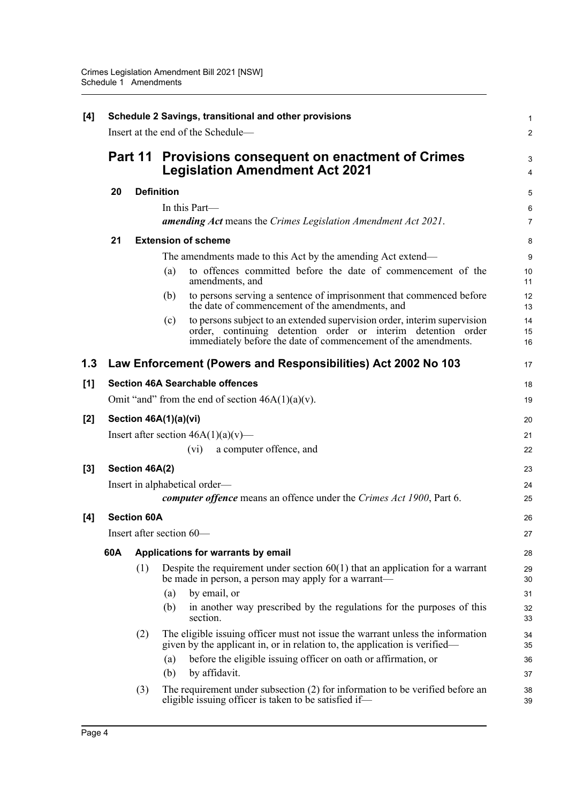| [4]   | Schedule 2 Savings, transitional and other provisions |                                    |                                                                                                                                                                                                                   |                |  |  |  |
|-------|-------------------------------------------------------|------------------------------------|-------------------------------------------------------------------------------------------------------------------------------------------------------------------------------------------------------------------|----------------|--|--|--|
|       |                                                       | Insert at the end of the Schedule- |                                                                                                                                                                                                                   |                |  |  |  |
|       | Part 11                                               |                                    | Provisions consequent on enactment of Crimes<br><b>Legislation Amendment Act 2021</b>                                                                                                                             |                |  |  |  |
|       | 20                                                    | <b>Definition</b>                  |                                                                                                                                                                                                                   |                |  |  |  |
|       |                                                       |                                    | In this Part—                                                                                                                                                                                                     | 6              |  |  |  |
|       |                                                       |                                    | <b>amending Act</b> means the Crimes Legislation Amendment Act 2021.                                                                                                                                              | $\overline{7}$ |  |  |  |
|       | 21                                                    |                                    | <b>Extension of scheme</b>                                                                                                                                                                                        | 8              |  |  |  |
|       |                                                       |                                    | The amendments made to this Act by the amending Act extend—                                                                                                                                                       | 9              |  |  |  |
|       |                                                       |                                    | to offences committed before the date of commencement of the<br>(a)<br>amendments, and                                                                                                                            | 10<br>11       |  |  |  |
|       |                                                       |                                    | to persons serving a sentence of imprisonment that commenced before<br>(b)<br>the date of commencement of the amendments, and                                                                                     | 12<br>13       |  |  |  |
|       |                                                       |                                    | to persons subject to an extended supervision order, interim supervision<br>(c)<br>order, continuing detention order or interim detention order<br>immediately before the date of commencement of the amendments. | 14<br>15<br>16 |  |  |  |
| 1.3   |                                                       |                                    | Law Enforcement (Powers and Responsibilities) Act 2002 No 103                                                                                                                                                     | 17             |  |  |  |
| [1]   |                                                       |                                    | <b>Section 46A Searchable offences</b>                                                                                                                                                                            | 18             |  |  |  |
|       |                                                       |                                    | Omit "and" from the end of section $46A(1)(a)(v)$ .                                                                                                                                                               | 19             |  |  |  |
| $[2]$ | Section 46A(1)(a)(vi)                                 |                                    |                                                                                                                                                                                                                   |                |  |  |  |
|       |                                                       |                                    | Insert after section $46A(1)(a)(v)$ —                                                                                                                                                                             | 21             |  |  |  |
|       |                                                       |                                    | a computer offence, and<br>$(v_i)$                                                                                                                                                                                | 22             |  |  |  |
| [3]   | Section 46A(2)                                        |                                    |                                                                                                                                                                                                                   |                |  |  |  |
|       | Insert in alphabetical order—                         |                                    |                                                                                                                                                                                                                   |                |  |  |  |
|       |                                                       |                                    | computer offence means an offence under the Crimes Act 1900, Part 6.                                                                                                                                              | 25             |  |  |  |
| [4]   |                                                       | <b>Section 60A</b>                 |                                                                                                                                                                                                                   | 26             |  |  |  |
|       |                                                       |                                    | Insert after section 60-                                                                                                                                                                                          | 27             |  |  |  |
|       | 60A                                                   |                                    | Applications for warrants by email                                                                                                                                                                                |                |  |  |  |
|       |                                                       | (1)                                | Despite the requirement under section $60(1)$ that an application for a warrant<br>be made in person, a person may apply for a warrant—                                                                           | 29<br>30       |  |  |  |
|       |                                                       |                                    | by email, or<br>(a)                                                                                                                                                                                               | 31             |  |  |  |
|       |                                                       |                                    | in another way prescribed by the regulations for the purposes of this<br>(b)<br>section.                                                                                                                          | 32<br>33       |  |  |  |
|       |                                                       | (2)                                | The eligible issuing officer must not issue the warrant unless the information<br>given by the applicant in, or in relation to, the application is verified—                                                      | 34<br>35       |  |  |  |
|       |                                                       |                                    | before the eligible issuing officer on oath or affirmation, or<br>(a)                                                                                                                                             | 36             |  |  |  |
|       |                                                       |                                    | by affidavit.<br>(b)                                                                                                                                                                                              | 37             |  |  |  |
|       |                                                       | (3)                                | The requirement under subsection (2) for information to be verified before an<br>eligible issuing officer is taken to be satisfied if—                                                                            | 38<br>39       |  |  |  |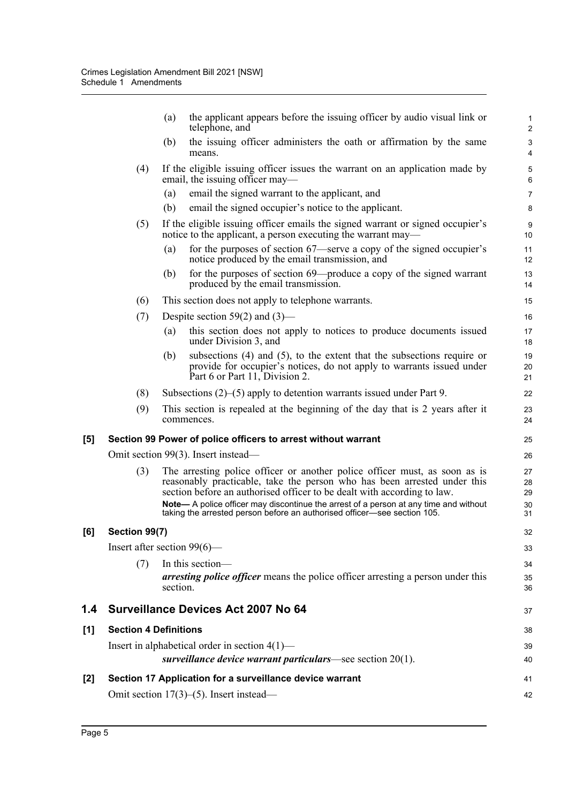|     |                                                               | (a)      | the applicant appears before the issuing officer by audio visual link or<br>telephone, and                                                                                                                                        | $\mathbf{1}$<br>$\overline{2}$ |  |  |
|-----|---------------------------------------------------------------|----------|-----------------------------------------------------------------------------------------------------------------------------------------------------------------------------------------------------------------------------------|--------------------------------|--|--|
|     |                                                               | (b)      | the issuing officer administers the oath or affirmation by the same<br>means.                                                                                                                                                     | 3<br>$\overline{4}$            |  |  |
|     | (4)                                                           |          | If the eligible issuing officer issues the warrant on an application made by<br>email, the issuing officer may—                                                                                                                   | 5<br>$\,6\,$                   |  |  |
|     |                                                               | (a)      | email the signed warrant to the applicant, and                                                                                                                                                                                    | $\overline{7}$                 |  |  |
|     |                                                               | (b)      | email the signed occupier's notice to the applicant.                                                                                                                                                                              | 8                              |  |  |
|     | (5)                                                           |          | If the eligible issuing officer emails the signed warrant or signed occupier's<br>notice to the applicant, a person executing the warrant may—                                                                                    | 9<br>10                        |  |  |
|     |                                                               | (a)      | for the purposes of section 67—serve a copy of the signed occupier's<br>notice produced by the email transmission, and                                                                                                            | 11<br>12                       |  |  |
|     |                                                               | (b)      | for the purposes of section 69—produce a copy of the signed warrant<br>produced by the email transmission.                                                                                                                        | 13<br>14                       |  |  |
|     | (6)                                                           |          | This section does not apply to telephone warrants.                                                                                                                                                                                | 15                             |  |  |
|     | (7)                                                           |          | Despite section 59(2) and $(3)$ —                                                                                                                                                                                                 | 16                             |  |  |
|     |                                                               | (a)      | this section does not apply to notices to produce documents issued<br>under Division 3, and                                                                                                                                       | 17<br>18                       |  |  |
|     |                                                               | (b)      | subsections $(4)$ and $(5)$ , to the extent that the subsections require or<br>provide for occupier's notices, do not apply to warrants issued under<br>Part 6 or Part 11, Division 2.                                            | 19<br>20<br>21                 |  |  |
|     | (8)                                                           |          | Subsections $(2)$ – $(5)$ apply to detention warrants issued under Part 9.                                                                                                                                                        | 22                             |  |  |
|     | (9)                                                           |          | This section is repealed at the beginning of the day that is 2 years after it<br>commences.                                                                                                                                       | 23<br>24                       |  |  |
| [5] |                                                               |          | Section 99 Power of police officers to arrest without warrant                                                                                                                                                                     | 25                             |  |  |
|     |                                                               |          | Omit section 99(3). Insert instead—                                                                                                                                                                                               | 26                             |  |  |
|     | (3)                                                           |          | The arresting police officer or another police officer must, as soon as is<br>reasonably practicable, take the person who has been arrested under this<br>section before an authorised officer to be dealt with according to law. | 27<br>28<br>29                 |  |  |
|     |                                                               |          | Note— A police officer may discontinue the arrest of a person at any time and without<br>taking the arrested person before an authorised officer—see section 105.                                                                 | 30<br>31                       |  |  |
| [6] | Section 99(7)                                                 |          |                                                                                                                                                                                                                                   |                                |  |  |
|     | Insert after section $99(6)$ —                                |          |                                                                                                                                                                                                                                   |                                |  |  |
|     | (7)                                                           |          | In this section-                                                                                                                                                                                                                  | 34                             |  |  |
|     |                                                               | section. | arresting police officer means the police officer arresting a person under this                                                                                                                                                   | 35<br>36                       |  |  |
| 1.4 |                                                               |          | <b>Surveillance Devices Act 2007 No 64</b>                                                                                                                                                                                        | 37                             |  |  |
| [1] | <b>Section 4 Definitions</b>                                  |          |                                                                                                                                                                                                                                   |                                |  |  |
|     | Insert in alphabetical order in section $4(1)$ —              |          |                                                                                                                                                                                                                                   |                                |  |  |
|     | surveillance device warrant particulars—see section $20(1)$ . |          |                                                                                                                                                                                                                                   |                                |  |  |
| [2] |                                                               |          | Section 17 Application for a surveillance device warrant                                                                                                                                                                          | 41                             |  |  |
|     |                                                               |          | Omit section $17(3)$ –(5). Insert instead—                                                                                                                                                                                        | 42                             |  |  |

**[6] Section 99(7)**

 $[1]$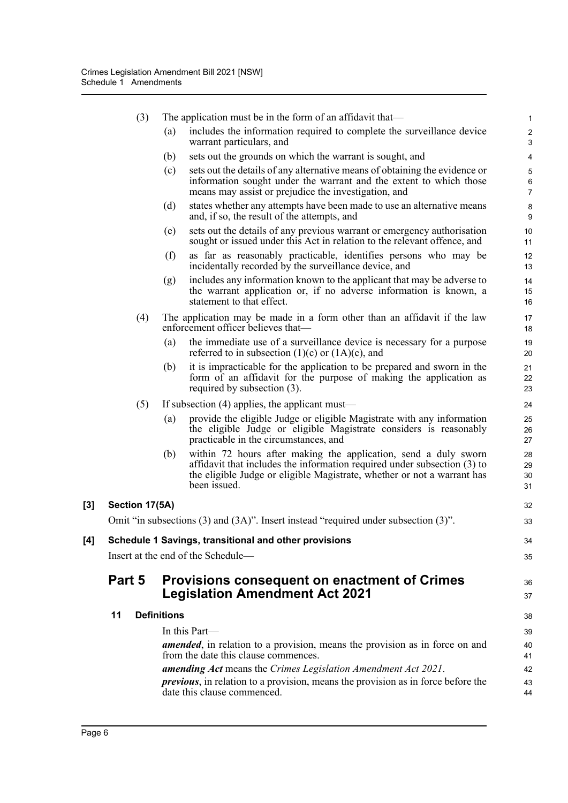|     | (3)            |                    | The application must be in the form of an affidavit that—                                                                                                                                                                              | 1                            |
|-----|----------------|--------------------|----------------------------------------------------------------------------------------------------------------------------------------------------------------------------------------------------------------------------------------|------------------------------|
|     |                | (a)                | includes the information required to complete the surveillance device<br>warrant particulars, and                                                                                                                                      | $\overline{\mathbf{c}}$<br>3 |
|     |                | (b)                | sets out the grounds on which the warrant is sought, and                                                                                                                                                                               | 4                            |
|     |                | (c)                | sets out the details of any alternative means of obtaining the evidence or<br>information sought under the warrant and the extent to which those<br>means may assist or prejudice the investigation, and                               | 5<br>6<br>7                  |
|     |                | (d)                | states whether any attempts have been made to use an alternative means<br>and, if so, the result of the attempts, and                                                                                                                  | 8<br>9                       |
|     |                | (e)                | sets out the details of any previous warrant or emergency authorisation<br>sought or issued under this Act in relation to the relevant offence, and                                                                                    | 10<br>11                     |
|     |                | (f)                | as far as reasonably practicable, identifies persons who may be<br>incidentally recorded by the surveillance device, and                                                                                                               | 12<br>13                     |
|     |                | (g)                | includes any information known to the applicant that may be adverse to<br>the warrant application or, if no adverse information is known, a<br>statement to that effect.                                                               | 14<br>15<br>16               |
|     | (4)            |                    | The application may be made in a form other than an affidavit if the law<br>enforcement officer believes that-                                                                                                                         | 17<br>18                     |
|     |                | (a)                | the immediate use of a surveillance device is necessary for a purpose<br>referred to in subsection $(1)(c)$ or $(1A)(c)$ , and                                                                                                         | 19<br>20                     |
|     |                | (b)                | it is impracticable for the application to be prepared and sworn in the<br>form of an affidavit for the purpose of making the application as<br>required by subsection $(3)$ .                                                         | 21<br>22<br>23               |
|     | (5)            |                    | If subsection $(4)$ applies, the applicant must—                                                                                                                                                                                       | 24                           |
|     |                | (a)                | provide the eligible Judge or eligible Magistrate with any information<br>the eligible Judge or eligible Magistrate considers is reasonably<br>practicable in the circumstances, and                                                   | 25<br>26<br>27               |
|     |                | (b)                | within 72 hours after making the application, send a duly sworn<br>affidavit that includes the information required under subsection (3) to<br>the eligible Judge or eligible Magistrate, whether or not a warrant has<br>been issued. | 28<br>29<br>30<br>31         |
| [3] | Section 17(5A) |                    |                                                                                                                                                                                                                                        | 32                           |
|     |                |                    | Omit "in subsections (3) and (3A)". Insert instead "required under subsection (3)".                                                                                                                                                    | 33                           |
| [4] |                |                    | Schedule 1 Savings, transitional and other provisions                                                                                                                                                                                  | 34                           |
|     |                |                    | Insert at the end of the Schedule-                                                                                                                                                                                                     | 35                           |
|     | Part 5         |                    | <b>Provisions consequent on enactment of Crimes</b><br><b>Legislation Amendment Act 2021</b>                                                                                                                                           | 36<br>37                     |
|     | 11             | <b>Definitions</b> |                                                                                                                                                                                                                                        | 38                           |
|     |                |                    | In this Part-                                                                                                                                                                                                                          | 39                           |
|     |                |                    | amended, in relation to a provision, means the provision as in force on and<br>from the date this clause commences.                                                                                                                    | 40<br>41                     |
|     |                |                    | amending Act means the Crimes Legislation Amendment Act 2021.                                                                                                                                                                          | 42                           |
|     |                |                    | <i>previous</i> , in relation to a provision, means the provision as in force before the                                                                                                                                               | 43                           |
|     |                |                    | date this clause commenced.                                                                                                                                                                                                            | 44                           |

**[3] Section 17(5A)**